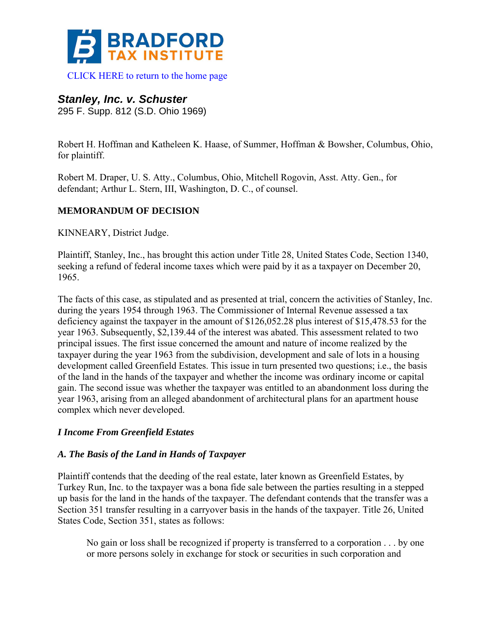

[CLICK HERE to return to the home page](http://www.bradfordtaxinstitute.com/) 

# *Stanley, Inc. v. Schuster*

295 F. Supp. 812 (S.D. Ohio 1969)

Robert H. Hoffman and Katheleen K. Haase, of Summer, Hoffman & Bowsher, Columbus, Ohio, for plaintiff.

Robert M. Draper, U. S. Atty., Columbus, Ohio, Mitchell Rogovin, Asst. Atty. Gen., for defendant; Arthur L. Stern, III, Washington, D. C., of counsel.

## **MEMORANDUM OF DECISION**

KINNEARY, District Judge.

Plaintiff, Stanley, Inc., has brought this action under Title 28, United States Code, Section 1340, seeking a refund of federal income taxes which were paid by it as a taxpayer on December 20, 1965.

The facts of this case, as stipulated and as presented at trial, concern the activities of Stanley, Inc. during the years 1954 through 1963. The Commissioner of Internal Revenue assessed a tax deficiency against the taxpayer in the amount of \$126,052.28 plus interest of \$15,478.53 for the year 1963. Subsequently, \$2,139.44 of the interest was abated. This assessment related to two principal issues. The first issue concerned the amount and nature of income realized by the taxpayer during the year 1963 from the subdivision, development and sale of lots in a housing development called Greenfield Estates. This issue in turn presented two questions; i.e., the basis of the land in the hands of the taxpayer and whether the income was ordinary income or capital gain. The second issue was whether the taxpayer was entitled to an abandonment loss during the year 1963, arising from an alleged abandonment of architectural plans for an apartment house complex which never developed.

#### *I Income From Greenfield Estates*

#### *A. The Basis of the Land in Hands of Taxpayer*

Plaintiff contends that the deeding of the real estate, later known as Greenfield Estates, by Turkey Run, Inc. to the taxpayer was a bona fide sale between the parties resulting in a stepped up basis for the land in the hands of the taxpayer. The defendant contends that the transfer was a Section 351 transfer resulting in a carryover basis in the hands of the taxpayer. Title 26, United States Code, Section 351, states as follows:

No gain or loss shall be recognized if property is transferred to a corporation . . . by one or more persons solely in exchange for stock or securities in such corporation and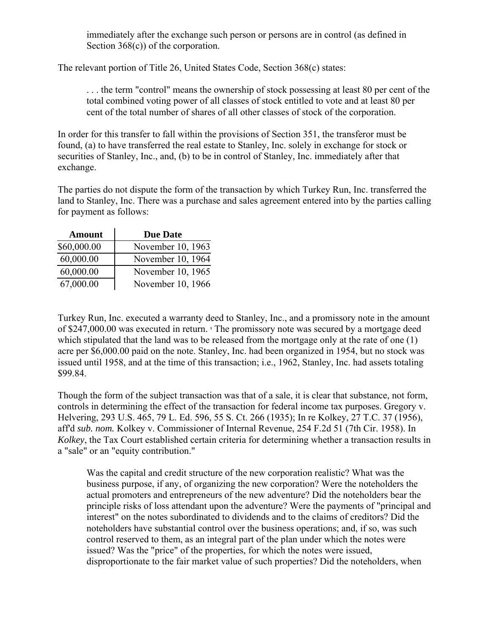immediately after the exchange such person or persons are in control (as defined in Section 368(c)) of the corporation.

The relevant portion of Title 26, United States Code, Section 368(c) states:

. . . the term "control" means the ownership of stock possessing at least 80 per cent of the total combined voting power of all classes of stock entitled to vote and at least 80 per cent of the total number of shares of all other classes of stock of the corporation.

In order for this transfer to fall within the provisions of Section 351, the transferor must be found, (a) to have transferred the real estate to Stanley, Inc. solely in exchange for stock or securities of Stanley, Inc., and, (b) to be in control of Stanley, Inc. immediately after that exchange.

The parties do not dispute the form of the transaction by which Turkey Run, Inc. transferred the land to Stanley, Inc. There was a purchase and sales agreement entered into by the parties calling for payment as follows:

| <b>Amount</b> | <b>Due Date</b>   |
|---------------|-------------------|
| \$60,000.00   | November 10, 1963 |
| 60,000.00     | November 10, 1964 |
| 60,000.00     | November 10, 1965 |
| 67,000.00     | November 10, 1966 |

Turkey Run, Inc. executed a warranty deed to Stanley, Inc., and a promissory note in the amount of \$247,000.00 was executed in return. **<sup>1</sup>** The promissory note was secured by a mortgage deed which stipulated that the land was to be released from the mortgage only at the rate of one (1) acre per \$6,000.00 paid on the note. Stanley, Inc. had been organized in 1954, but no stock was issued until 1958, and at the time of this transaction; i.e., 1962, Stanley, Inc. had assets totaling \$99.84.

Though the form of the subject transaction was that of a sale, it is clear that substance, not form, controls in determining the effect of the transaction for federal income tax purposes. Gregory v. Helvering, 293 U.S. 465, 79 L. Ed. 596, 55 S. Ct. 266 (1935); In re Kolkey, 27 T.C. 37 (1956), aff'd *sub. nom.* Kolkey v. Commissioner of Internal Revenue, 254 F.2d 51 (7th Cir. 1958). In *Kolkey*, the Tax Court established certain criteria for determining whether a transaction results in a "sale" or an "equity contribution."

Was the capital and credit structure of the new corporation realistic? What was the business purpose, if any, of organizing the new corporation? Were the noteholders the actual promoters and entrepreneurs of the new adventure? Did the noteholders bear the principle risks of loss attendant upon the adventure? Were the payments of "principal and interest" on the notes subordinated to dividends and to the claims of creditors? Did the noteholders have substantial control over the business operations; and, if so, was such control reserved to them, as an integral part of the plan under which the notes were issued? Was the "price" of the properties, for which the notes were issued, disproportionate to the fair market value of such properties? Did the noteholders, when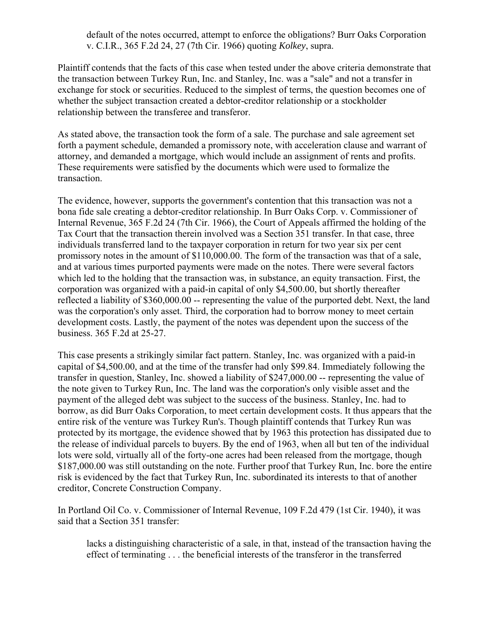default of the notes occurred, attempt to enforce the obligations? Burr Oaks Corporation v. C.I.R., 365 F.2d 24, 27 (7th Cir. 1966) quoting *Kolkey*, supra.

Plaintiff contends that the facts of this case when tested under the above criteria demonstrate that the transaction between Turkey Run, Inc. and Stanley, Inc. was a "sale" and not a transfer in exchange for stock or securities. Reduced to the simplest of terms, the question becomes one of whether the subject transaction created a debtor-creditor relationship or a stockholder relationship between the transferee and transferor.

As stated above, the transaction took the form of a sale. The purchase and sale agreement set forth a payment schedule, demanded a promissory note, with acceleration clause and warrant of attorney, and demanded a mortgage, which would include an assignment of rents and profits. These requirements were satisfied by the documents which were used to formalize the transaction.

The evidence, however, supports the government's contention that this transaction was not a bona fide sale creating a debtor-creditor relationship. In Burr Oaks Corp. v. Commissioner of Internal Revenue, 365 F.2d 24 (7th Cir. 1966), the Court of Appeals affirmed the holding of the Tax Court that the transaction therein involved was a Section 351 transfer. In that case, three individuals transferred land to the taxpayer corporation in return for two year six per cent promissory notes in the amount of \$110,000.00. The form of the transaction was that of a sale, and at various times purported payments were made on the notes. There were several factors which led to the holding that the transaction was, in substance, an equity transaction. First, the corporation was organized with a paid-in capital of only \$4,500.00, but shortly thereafter reflected a liability of \$360,000.00 -- representing the value of the purported debt. Next, the land was the corporation's only asset. Third, the corporation had to borrow money to meet certain development costs. Lastly, the payment of the notes was dependent upon the success of the business. 365 F.2d at 25-27.

This case presents a strikingly similar fact pattern. Stanley, Inc. was organized with a paid-in capital of \$4,500.00, and at the time of the transfer had only \$99.84. Immediately following the transfer in question, Stanley, Inc. showed a liability of \$247,000.00 -- representing the value of the note given to Turkey Run, Inc. The land was the corporation's only visible asset and the payment of the alleged debt was subject to the success of the business. Stanley, Inc. had to borrow, as did Burr Oaks Corporation, to meet certain development costs. It thus appears that the entire risk of the venture was Turkey Run's. Though plaintiff contends that Turkey Run was protected by its mortgage, the evidence showed that by 1963 this protection has dissipated due to the release of individual parcels to buyers. By the end of 1963, when all but ten of the individual lots were sold, virtually all of the forty-one acres had been released from the mortgage, though \$187,000.00 was still outstanding on the note. Further proof that Turkey Run, Inc. bore the entire risk is evidenced by the fact that Turkey Run, Inc. subordinated its interests to that of another creditor, Concrete Construction Company.

In Portland Oil Co. v. Commissioner of Internal Revenue, 109 F.2d 479 (1st Cir. 1940), it was said that a Section 351 transfer:

lacks a distinguishing characteristic of a sale, in that, instead of the transaction having the effect of terminating . . . the beneficial interests of the transferor in the transferred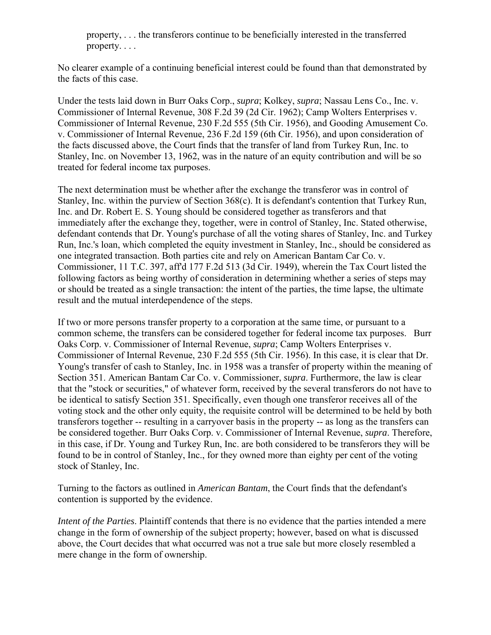property, . . . the transferors continue to be beneficially interested in the transferred property. . . .

No clearer example of a continuing beneficial interest could be found than that demonstrated by the facts of this case.

Under the tests laid down in Burr Oaks Corp., *supra*; Kolkey, *supra*; Nassau Lens Co., Inc. v. Commissioner of Internal Revenue, 308 F.2d 39 (2d Cir. 1962); Camp Wolters Enterprises v. Commissioner of Internal Revenue, 230 F.2d 555 (5th Cir. 1956), and Gooding Amusement Co. v. Commissioner of Internal Revenue, 236 F.2d 159 (6th Cir. 1956), and upon consideration of the facts discussed above, the Court finds that the transfer of land from Turkey Run, Inc. to Stanley, Inc. on November 13, 1962, was in the nature of an equity contribution and will be so treated for federal income tax purposes.

The next determination must be whether after the exchange the transferor was in control of Stanley, Inc. within the purview of Section 368(c). It is defendant's contention that Turkey Run, Inc. and Dr. Robert E. S. Young should be considered together as transferors and that immediately after the exchange they, together, were in control of Stanley, Inc. Stated otherwise, defendant contends that Dr. Young's purchase of all the voting shares of Stanley, Inc. and Turkey Run, Inc.'s loan, which completed the equity investment in Stanley, Inc., should be considered as one integrated transaction. Both parties cite and rely on American Bantam Car Co. v. Commissioner, 11 T.C. 397, aff'd 177 F.2d 513 (3d Cir. 1949), wherein the Tax Court listed the following factors as being worthy of consideration in determining whether a series of steps may or should be treated as a single transaction: the intent of the parties, the time lapse, the ultimate result and the mutual interdependence of the steps.

If two or more persons transfer property to a corporation at the same time, or pursuant to a common scheme, the transfers can be considered together for federal income tax purposes. Burr Oaks Corp. v. Commissioner of Internal Revenue, *supra*; Camp Wolters Enterprises v. Commissioner of Internal Revenue, 230 F.2d 555 (5th Cir. 1956). In this case, it is clear that Dr. Young's transfer of cash to Stanley, Inc. in 1958 was a transfer of property within the meaning of Section 351. American Bantam Car Co. v. Commissioner, *supra*. Furthermore, the law is clear that the "stock or securities," of whatever form, received by the several transferors do not have to be identical to satisfy Section 351. Specifically, even though one transferor receives all of the voting stock and the other only equity, the requisite control will be determined to be held by both transferors together -- resulting in a carryover basis in the property -- as long as the transfers can be considered together. Burr Oaks Corp. v. Commissioner of Internal Revenue, *supra*. Therefore, in this case, if Dr. Young and Turkey Run, Inc. are both considered to be transferors they will be found to be in control of Stanley, Inc., for they owned more than eighty per cent of the voting stock of Stanley, Inc.

Turning to the factors as outlined in *American Bantam*, the Court finds that the defendant's contention is supported by the evidence.

*Intent of the Parties*. Plaintiff contends that there is no evidence that the parties intended a mere change in the form of ownership of the subject property; however, based on what is discussed above, the Court decides that what occurred was not a true sale but more closely resembled a mere change in the form of ownership.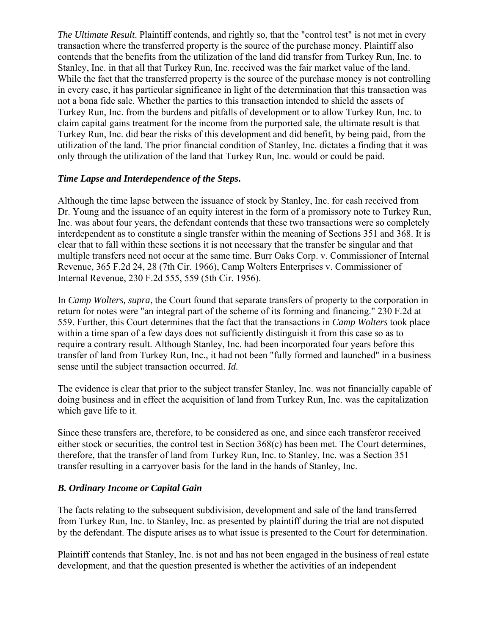*The Ultimate Result*. Plaintiff contends, and rightly so, that the "control test" is not met in every transaction where the transferred property is the source of the purchase money. Plaintiff also contends that the benefits from the utilization of the land did transfer from Turkey Run, Inc. to Stanley, Inc. in that all that Turkey Run, Inc. received was the fair market value of the land. While the fact that the transferred property is the source of the purchase money is not controlling in every case, it has particular significance in light of the determination that this transaction was not a bona fide sale. Whether the parties to this transaction intended to shield the assets of Turkey Run, Inc. from the burdens and pitfalls of development or to allow Turkey Run, Inc. to claim capital gains treatment for the income from the purported sale, the ultimate result is that Turkey Run, Inc. did bear the risks of this development and did benefit, by being paid, from the utilization of the land. The prior financial condition of Stanley, Inc. dictates a finding that it was only through the utilization of the land that Turkey Run, Inc. would or could be paid.

#### *Time Lapse and Interdependence of the Steps***.**

Although the time lapse between the issuance of stock by Stanley, Inc. for cash received from Dr. Young and the issuance of an equity interest in the form of a promissory note to Turkey Run, Inc. was about four years, the defendant contends that these two transactions were so completely interdependent as to constitute a single transfer within the meaning of Sections 351 and 368. It is clear that to fall within these sections it is not necessary that the transfer be singular and that multiple transfers need not occur at the same time. Burr Oaks Corp. v. Commissioner of Internal Revenue, 365 F.2d 24, 28 (7th Cir. 1966), Camp Wolters Enterprises v. Commissioner of Internal Revenue, 230 F.2d 555, 559 (5th Cir. 1956).

In *Camp Wolters, supra*, the Court found that separate transfers of property to the corporation in return for notes were "an integral part of the scheme of its forming and financing." 230 F.2d at 559. Further, this Court determines that the fact that the transactions in *Camp Wolters* took place within a time span of a few days does not sufficiently distinguish it from this case so as to require a contrary result. Although Stanley, Inc. had been incorporated four years before this transfer of land from Turkey Run, Inc., it had not been "fully formed and launched" in a business sense until the subject transaction occurred. *Id.*

The evidence is clear that prior to the subject transfer Stanley, Inc. was not financially capable of doing business and in effect the acquisition of land from Turkey Run, Inc. was the capitalization which gave life to it.

Since these transfers are, therefore, to be considered as one, and since each transferor received either stock or securities, the control test in Section 368(c) has been met. The Court determines, therefore, that the transfer of land from Turkey Run, Inc. to Stanley, Inc. was a Section 351 transfer resulting in a carryover basis for the land in the hands of Stanley, Inc.

#### *B. Ordinary Income or Capital Gain*

The facts relating to the subsequent subdivision, development and sale of the land transferred from Turkey Run, Inc. to Stanley, Inc. as presented by plaintiff during the trial are not disputed by the defendant. The dispute arises as to what issue is presented to the Court for determination.

Plaintiff contends that Stanley, Inc. is not and has not been engaged in the business of real estate development, and that the question presented is whether the activities of an independent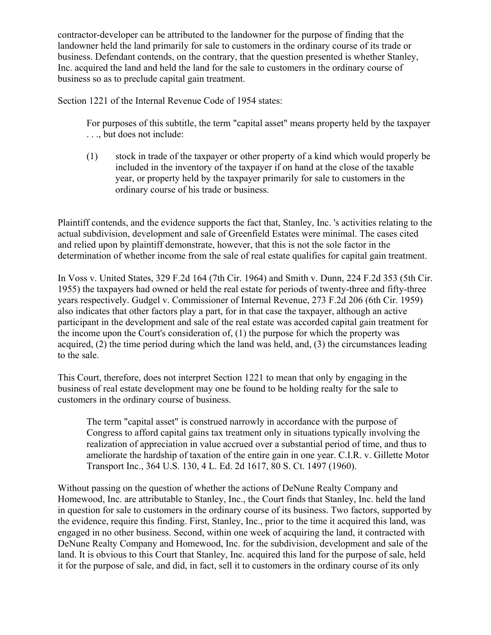contractor-developer can be attributed to the landowner for the purpose of finding that the landowner held the land primarily for sale to customers in the ordinary course of its trade or business. Defendant contends, on the contrary, that the question presented is whether Stanley, Inc. acquired the land and held the land for the sale to customers in the ordinary course of business so as to preclude capital gain treatment.

Section 1221 of the Internal Revenue Code of 1954 states:

For purposes of this subtitle, the term "capital asset" means property held by the taxpayer . . ., but does not include:

(1) stock in trade of the taxpayer or other property of a kind which would properly be included in the inventory of the taxpayer if on hand at the close of the taxable year, or property held by the taxpayer primarily for sale to customers in the ordinary course of his trade or business.

Plaintiff contends, and the evidence supports the fact that, Stanley, Inc. 's activities relating to the actual subdivision, development and sale of Greenfield Estates were minimal. The cases cited and relied upon by plaintiff demonstrate, however, that this is not the sole factor in the determination of whether income from the sale of real estate qualifies for capital gain treatment.

In Voss v. United States, 329 F.2d 164 (7th Cir. 1964) and Smith v. Dunn, 224 F.2d 353 (5th Cir. 1955) the taxpayers had owned or held the real estate for periods of twenty-three and fifty-three years respectively. Gudgel v. Commissioner of Internal Revenue, 273 F.2d 206 (6th Cir. 1959) also indicates that other factors play a part, for in that case the taxpayer, although an active participant in the development and sale of the real estate was accorded capital gain treatment for the income upon the Court's consideration of, (1) the purpose for which the property was acquired, (2) the time period during which the land was held, and, (3) the circumstances leading to the sale.

This Court, therefore, does not interpret Section 1221 to mean that only by engaging in the business of real estate development may one be found to be holding realty for the sale to customers in the ordinary course of business.

The term "capital asset" is construed narrowly in accordance with the purpose of Congress to afford capital gains tax treatment only in situations typically involving the realization of appreciation in value accrued over a substantial period of time, and thus to ameliorate the hardship of taxation of the entire gain in one year. C.I.R. v. Gillette Motor Transport Inc., 364 U.S. 130, 4 L. Ed. 2d 1617, 80 S. Ct. 1497 (1960).

Without passing on the question of whether the actions of DeNune Realty Company and Homewood, Inc. are attributable to Stanley, Inc., the Court finds that Stanley, Inc. held the land in question for sale to customers in the ordinary course of its business. Two factors, supported by the evidence, require this finding. First, Stanley, Inc., prior to the time it acquired this land, was engaged in no other business. Second, within one week of acquiring the land, it contracted with DeNune Realty Company and Homewood, Inc. for the subdivision, development and sale of the land. It is obvious to this Court that Stanley, Inc. acquired this land for the purpose of sale, held it for the purpose of sale, and did, in fact, sell it to customers in the ordinary course of its only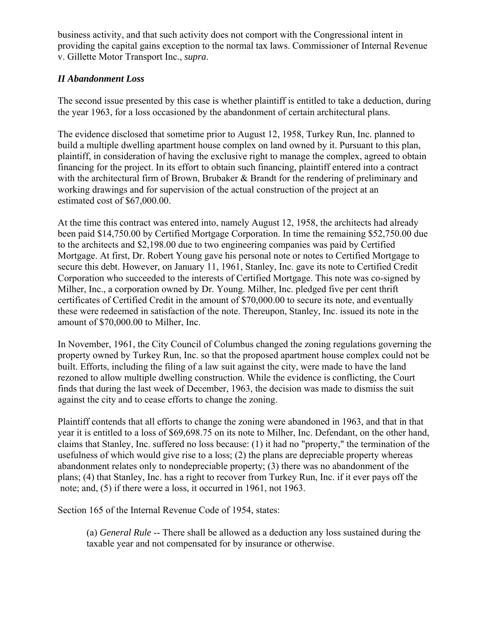business activity, and that such activity does not comport with the Congressional intent in providing the capital gains exception to the normal tax laws. Commissioner of Internal Revenue v. Gillette Motor Transport Inc., *supra*.

### *II Abandonment Loss*

The second issue presented by this case is whether plaintiff is entitled to take a deduction, during the year 1963, for a loss occasioned by the abandonment of certain architectural plans.

The evidence disclosed that sometime prior to August 12, 1958, Turkey Run, Inc. planned to build a multiple dwelling apartment house complex on land owned by it. Pursuant to this plan, plaintiff, in consideration of having the exclusive right to manage the complex, agreed to obtain financing for the project. In its effort to obtain such financing, plaintiff entered into a contract with the architectural firm of Brown, Brubaker & Brandt for the rendering of preliminary and working drawings and for supervision of the actual construction of the project at an estimated cost of \$67,000.00.

At the time this contract was entered into, namely August 12, 1958, the architects had already been paid \$14,750.00 by Certified Mortgage Corporation. In time the remaining \$52,750.00 due to the architects and \$2,198.00 due to two engineering companies was paid by Certified Mortgage. At first, Dr. Robert Young gave his personal note or notes to Certified Mortgage to secure this debt. However, on January 11, 1961, Stanley, Inc. gave its note to Certified Credit Corporation who succeeded to the interests of Certified Mortgage. This note was co-signed by Milher, Inc., a corporation owned by Dr. Young. Milher, Inc. pledged five per cent thrift certificates of Certified Credit in the amount of \$70,000.00 to secure its note, and eventually these were redeemed in satisfaction of the note. Thereupon, Stanley, Inc. issued its note in the amount of \$70,000.00 to Milher, Inc.

In November, 1961, the City Council of Columbus changed the zoning regulations governing the property owned by Turkey Run, Inc. so that the proposed apartment house complex could not be built. Efforts, including the filing of a law suit against the city, were made to have the land rezoned to allow multiple dwelling construction. While the evidence is conflicting, the Court finds that during the last week of December, 1963, the decision was made to dismiss the suit against the city and to cease efforts to change the zoning.

Plaintiff contends that all efforts to change the zoning were abandoned in 1963, and that in that year it is entitled to a loss of \$69,698.75 on its note to Milher, Inc. Defendant, on the other hand, claims that Stanley, Inc. suffered no loss because: (1) it had no "property," the termination of the usefulness of which would give rise to a loss; (2) the plans are depreciable property whereas abandonment relates only to nondepreciable property; (3) there was no abandonment of the plans; (4) that Stanley, Inc. has a right to recover from Turkey Run, Inc. if it ever pays off the note; and, (5) if there were a loss, it occurred in 1961, not 1963.

Section 165 of the Internal Revenue Code of 1954, states:

(a) *General Rule* -- There shall be allowed as a deduction any loss sustained during the taxable year and not compensated for by insurance or otherwise.